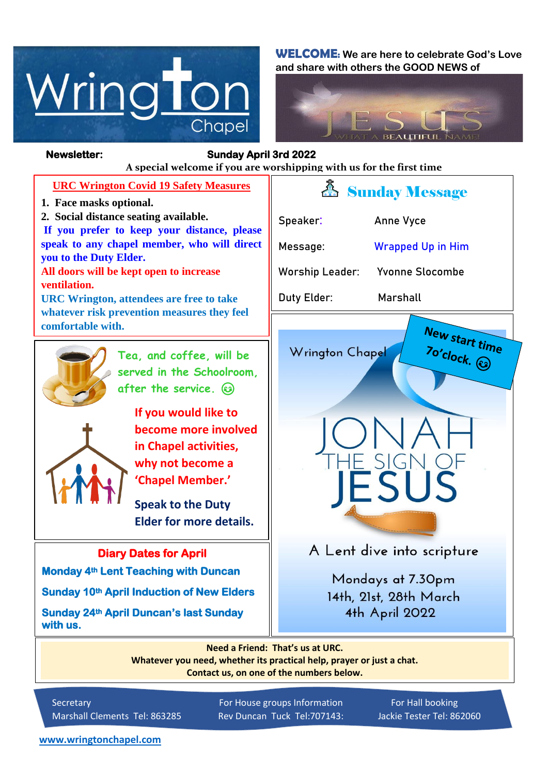

**WELCOME: We are here to celebrate God's Love and share with others the GOOD NEWS of**



**Newsletter: Sunday April 3rd 2022**  *Figure 1ready steady* **A special welcome if you are worshipping with us for the first time URC Wrington Covid 19 Safety Measures** *A* Sunday Message **1. Face masks optional. 2. Social distance seating available. Speaker: Anne Vyce If you prefer to keep your distance, please speak to any chapel member, who will direct Message: Wrapped Up in Him you to the Duty Elder. All doors will be kept open to increase Worship Leader: Yvonne Slocombe ventilation. Duty Elder: Marshall URC Wrington, attendees are free to take whatever risk prevention measures they feel**  New start time **comfortable with.** Jo'clock. ۞ Wrington Chapel **Tea, and coffee, will be served in the Schoolroom, after the service. If you would like to become more involved in Chapel activities, why not become a 'Chapel Member.' Speak to the Duty Elder for more details.**A Lent dive into scripture **Diary Dates for April Monday 4th Lent Teaching with Duncan**  Mondays at 7.30pm **Sunday 10th April Induction of New Elders**  14th, 21st, 28th March **Sunday 24th April Duncan's last Sunday**  4th April 2022 **with us. Need a Friend: That's us at URC.**

**Whatever you need, whether its practical help, prayer or just a chat. Contact us, on one of the numbers below.**

Secretary For House groups Information For Hall booking Marshall Clements Tel: 863285 Rev Duncan Tuck Tel:707143: Jackie Tester Tel: 862060

**[www.wringtonchapel.com](http://www.wringtonchapel.com/)**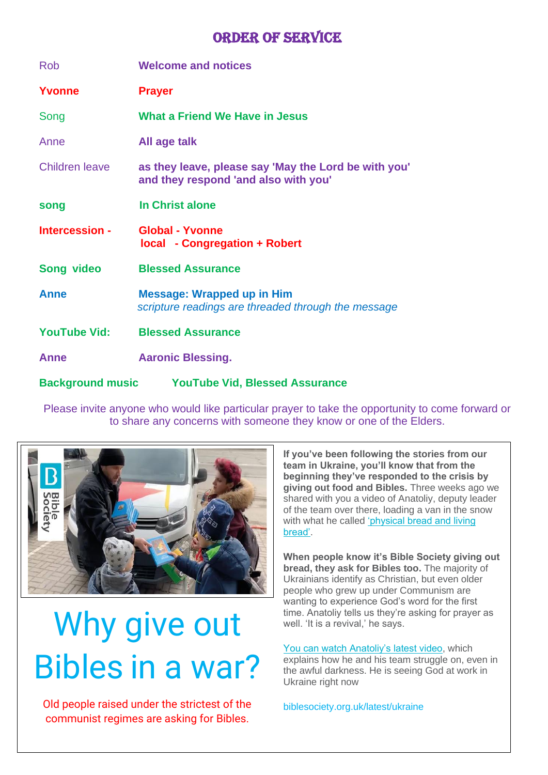# **ORDER OF SERVICE**

| <b>Rob</b>          | <b>Welcome and notices</b>                                                                   |
|---------------------|----------------------------------------------------------------------------------------------|
| Yvonne              | <b>Prayer</b>                                                                                |
| Song                | <b>What a Friend We Have in Jesus</b>                                                        |
| Anne                | All age talk                                                                                 |
| Children leave      | as they leave, please say 'May the Lord be with you'<br>and they respond 'and also with you' |
| song                | In Christ alone                                                                              |
| Intercession -      | <b>Global - Yvonne</b><br><b>local - Congregation + Robert</b>                               |
| <b>Song video</b>   | <b>Blessed Assurance</b>                                                                     |
| Anne                | <b>Message: Wrapped up in Him</b><br>scripture readings are threaded through the message     |
| <b>YouTube Vid:</b> | <b>Blessed Assurance</b>                                                                     |
| Anne                | <b>Aaronic Blessing.</b>                                                                     |
|                     | Background music YouTube Vid, Blessed Assurance                                              |

Please invite anyone who would like particular prayer to take the opportunity to come forward or to share any concerns with someone they know or one of the Elders.



# Why give out Bibles in a war?

Old people raised under the strictest of the communist regimes are asking for Bibles.

**If you've been following the stories from our team in Ukraine, you'll know that from the beginning they've responded to the crisis by giving out food and Bibles.** Three weeks ago we shared with you a video of Anatoliy, deputy leader of the team over there, loading a van in the snow with what he called 'physical bread and living [bread'.](https://biblesociety.cmail19.com/t/r-l-tyglyht-okuhtldljk-y/)

**When people know it's Bible Society giving out bread, they ask for Bibles too.** The majority of Ukrainians identify as Christian, but even older people who grew up under Communism are wanting to experience God's word for the first time. Anatoliy tells us they're asking for prayer as well. 'It is a revival,' he says.

[You can watch Anatoliy's latest video,](https://biblesociety.cmail19.com/t/r-l-tyglyht-okuhtldljk-j/) which explains how he and his team struggle on, even in the awful darkness. He is seeing God at work in Ukraine right now

biblesociety.org.uk/latest/ukraine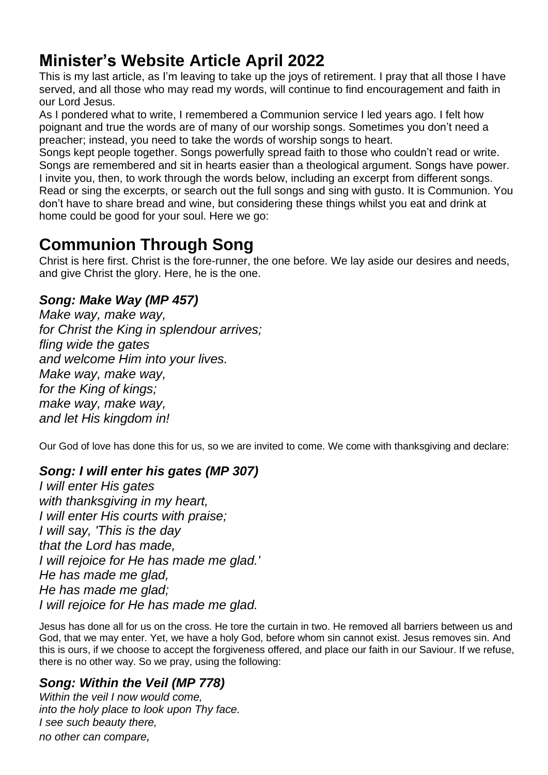# **Minister's Website Article April 2022**

This is my last article, as I'm leaving to take up the joys of retirement. I pray that all those I have served, and all those who may read my words, will continue to find encouragement and faith in our Lord Jesus.

As I pondered what to write, I remembered a Communion service I led years ago. I felt how poignant and true the words are of many of our worship songs. Sometimes you don't need a preacher; instead, you need to take the words of worship songs to heart.

Songs kept people together. Songs powerfully spread faith to those who couldn't read or write. Songs are remembered and sit in hearts easier than a theological argument. Songs have power. I invite you, then, to work through the words below, including an excerpt from different songs. Read or sing the excerpts, or search out the full songs and sing with gusto. It is Communion. You don't have to share bread and wine, but considering these things whilst you eat and drink at home could be good for your soul. Here we go:

# **Communion Through Song**

Christ is here first. Christ is the fore-runner, the one before. We lay aside our desires and needs, and give Christ the glory. Here, he is the one.

# *Song: Make Way (MP 457)*

*Make way, make way, for Christ the King in splendour arrives; fling wide the gates and welcome Him into your lives. Make way, make way, for the King of kings; make way, make way, and let His kingdom in!*

Our God of love has done this for us, so we are invited to come. We come with thanksgiving and declare:

# *Song: I will enter his gates (MP 307)*

*I will enter His gates with thanksgiving in my heart, I will enter His courts with praise; I will say, 'This is the day that the Lord has made, I will rejoice for He has made me glad.' He has made me glad, He has made me glad; I will rejoice for He has made me glad.*

Jesus has done all for us on the cross. He tore the curtain in two. He removed all barriers between us and God, that we may enter. Yet, we have a holy God, before whom sin cannot exist. Jesus removes sin. And this is ours, if we choose to accept the forgiveness offered, and place our faith in our Saviour. If we refuse, there is no other way. So we pray, using the following:

# *Song: Within the Veil (MP 778)*

*Within the veil I now would come, into the holy place to look upon Thy face. I see such beauty there, no other can compare,*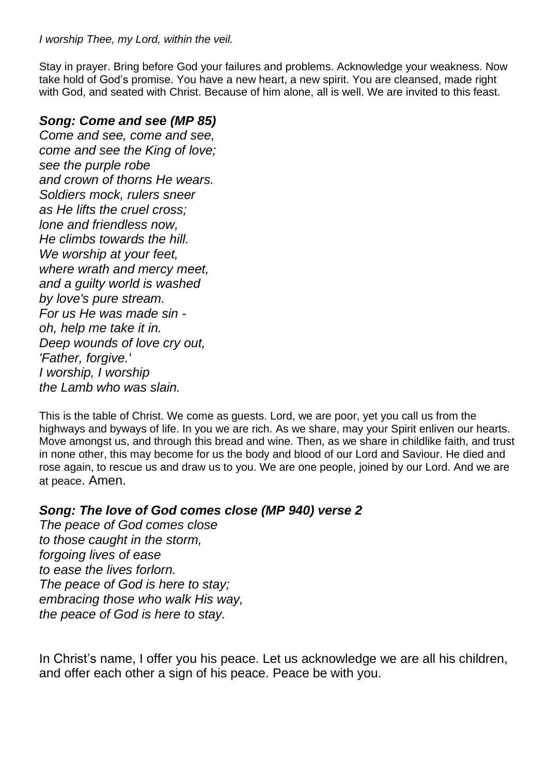Stay in prayer. Bring before God your failures and problems. Acknowledge your weakness. Now take hold of God's promise. You have a new heart, a new spirit. You are cleansed, made right with God, and seated with Christ. Because of him alone, all is well. We are invited to this feast.

## *Song: Come and see (MP 85)*

*Come and see, come and see, come and see the King of love; see the purple robe and crown of thorns He wears. Soldiers mock, rulers sneer as He lifts the cruel cross; lone and friendless now, He climbs towards the hill. We worship at your feet, where wrath and mercy meet, and a guilty world is washed by love's pure stream. For us He was made sin oh, help me take it in. Deep wounds of love cry out, 'Father, forgive.' I worship, I worship the Lamb who was slain.*

This is the table of Christ. We come as guests. Lord, we are poor, yet you call us from the highways and byways of life. In you we are rich. As we share, may your Spirit enliven our hearts. Move amongst us, and through this bread and wine. Then, as we share in childlike faith, and trust in none other, this may become for us the body and blood of our Lord and Saviour. He died and rose again, to rescue us and draw us to you. We are one people, joined by our Lord. And we are at peace. Amen.

# *Song: The love of God comes close (MP 940) verse 2*

*The peace of God comes close to those caught in the storm, forgoing lives of ease to ease the lives forlorn. The peace of God is here to stay; embracing those who walk His way, the peace of God is here to stay.*

In Christ's name, I offer you his peace. Let us acknowledge we are all his children, and offer each other a sign of his peace. Peace be with you.